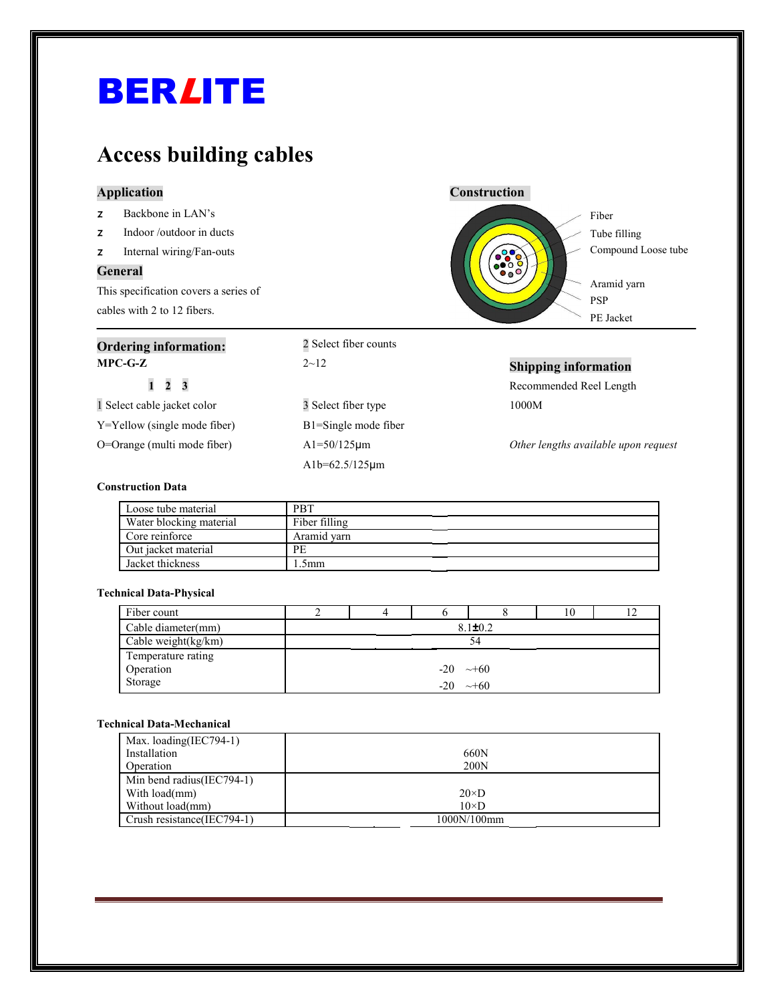## BERLITE

### **Access building cables**

#### **Application Construction**

| Backbone in LAN's |  |
|-------------------|--|
|-------------------|--|

- z Indoor /outdoor in ducts
- z Internal wiring/Fan-outs

#### **General**

This specification covers a series of cables with 2 to 12 fibers.

| <b>Ordering information:</b>      | 2 Select fiber counts            |                                      |
|-----------------------------------|----------------------------------|--------------------------------------|
| $MPC-G-Z$                         | $2\negthinspace\negthinspace-12$ | <b>Shipping information</b>          |
| $1\quad 2\quad 3$                 |                                  | Recommended Reel Length              |
| 1 Select cable jacket color       | 3 Select fiber type              | 1000M                                |
| $Y = Y$ ellow (single mode fiber) | B1=Single mode fiber             |                                      |
| O=Orange (multi mode fiber)       | $A1 = 50/125 \mu m$              | Other lengths available upon request |
|                                   | $Alb = 62.5/125 \mu m$           |                                      |

#### **Construction Data**

| Loose tube material     | <b>PBT</b>    |  |
|-------------------------|---------------|--|
| Water blocking material | Fiber filling |  |
| Core reinforce          | Aramid varn   |  |
| Out jacket material     | PE.           |  |
| Jacket thickness        | .5mm          |  |

#### **Technical Data-Physical**

| Fiber count            |               |  |                       |            | 10 |  |
|------------------------|---------------|--|-----------------------|------------|----|--|
| Cable diameter(mm)     | $8.1 \pm 0.2$ |  |                       |            |    |  |
| Cable weight $(kg/km)$ |               |  |                       | 54         |    |  |
| Temperature rating     |               |  |                       |            |    |  |
| Operation              |               |  | $-20 \rightarrow +60$ |            |    |  |
| Storage                |               |  | $-20$                 | $\sim$ +60 |    |  |

#### **Technical Data-Mechanical**

| Max. loading(IEC794-1)     |              |
|----------------------------|--------------|
| Installation               | 660N         |
| Operation                  | 200N         |
| Min bend radius(IEC794-1)  |              |
| With load(mm)              | $20\times D$ |
| Without load(mm)           | $10\times D$ |
| Crush resistance(IEC794-1) | 1000N/100mm  |